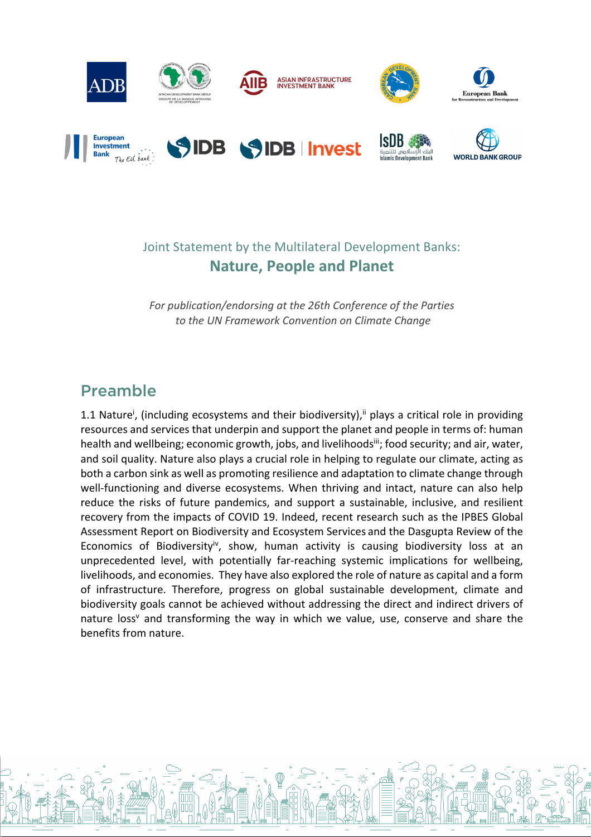

# Joint Statement by the Multilateral Development Banks: **Nature, People and Planet**

*For publication/endorsing at the 26th Conference of the Parties to the UN Framework Convention on Climate Change*

# Preamble

1.1 Nature<sup>i</sup>, (including ecosystems and their biodiversity),<sup>ii</sup> plays a critical role in providing resources and services that underpin and support the planet and people in terms of: human health and wellbeing; economic growth, jobs, and livelihoodsii; food security; and air, water, and soil quality. Nature also plays a crucial role in helping to regulate our climate, acting as both a carbon sink as well as promoting resilience and adaptation to climate change through well-functioning and diverse ecosystems. When thriving and intact, nature can also help reduce the risks of future pandemics, and support a sustainable, inclusive, and resilient recovery from the impacts of COVID 19. Indeed, recent research such as the IPBES Global Assessment Report on Biodiversity and Ecosystem Services and the Dasgupta Review of the Economics of Biodiversity<sup>iv</sup>, show, human activity is causing biodiversity loss at an unprecedented level, with potentially far-reaching systemic implications for wellbeing, livelihoods, and economies. They have also explored the role of nature as capital and a form of infrastructure. Therefore, progress on global sustainable development, climate and biodiversity goals cannot be achieved without addressing the direct and indirect drivers of nature loss<sup>y</sup> and transforming the way in which we value, use, conserve and share the benefits from nature.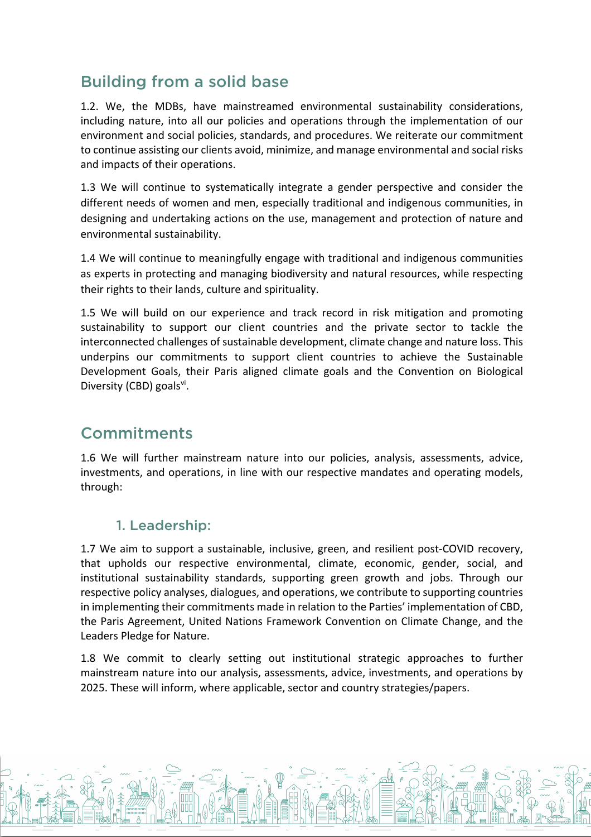# Building from a solid base

1.2. We, the MDBs, have mainstreamed environmental sustainability considerations, including nature, into all our policies and operations through the implementation of our environment and social policies, standards, and procedures. We reiterate our commitment to continue assisting our clients avoid, minimize, and manage environmental and social risks and impacts of their operations.

1.3 We will continue to systematically integrate a gender perspective and consider the different needs of women and men, especially traditional and indigenous communities, in designing and undertaking actions on the use, management and protection of nature and environmental sustainability.

1.4 We will continue to meaningfully engage with traditional and indigenous communities as experts in protecting and managing biodiversity and natural resources, while respecting their rights to their lands, culture and spirituality.

1.5 We will build on our experience and track record in risk mitigation and promoting sustainability to support our client countries and the private sector to tackle the interconnected challenges of sustainable development, climate change and nature loss. This underpins our commitments to support client countries to achieve the Sustainable Development Goals, their Paris aligned climate goals and the Convention on Biological Diversity (CBD) goalsvi.

# **Commitments**

1.6 We will further mainstream nature into our policies, analysis, assessments, advice, investments, and operations, in line with our respective mandates and operating models, through:

#### 1. Leadership:

1.7 We aim to support a sustainable, inclusive, green, and resilient post-COVID recovery, that upholds our respective environmental, climate, economic, gender, social, and institutional sustainability standards, supporting green growth and jobs. Through our respective policy analyses, dialogues, and operations, we contribute to supporting countries in implementing their commitments made in relation to the Parties' implementation of CBD, the Paris Agreement, United Nations Framework Convention on Climate Change, and the Leaders Pledge for Nature.

1.8 We commit to clearly setting out institutional strategic approaches to further mainstream nature into our analysis, assessments, advice, investments, and operations by 2025. These will inform, where applicable, sector and country strategies/papers.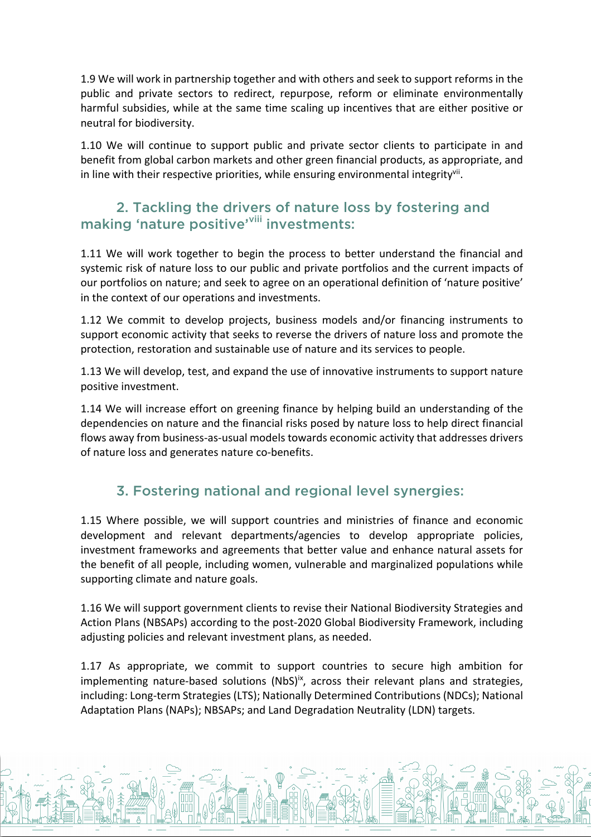1.9 We will work in partnership together and with others and seek to support reforms in the public and private sectors to redirect, repurpose, reform or eliminate environmentally harmful subsidies, while at the same time scaling up incentives that are either positive or neutral for biodiversity.

1.10 We will continue to support public and private sector clients to participate in and benefit from global carbon markets and other green financial products, as appropriate, and in line with their respective priorities, while ensuring environmental integrity<sup>vii</sup>.

### 2. Tackling the drivers of nature loss by fostering and making 'nature positive'<sup>viii</sup> investments:

1.11 We will work together to begin the process to better understand the financial and systemic risk of nature loss to our public and private portfolios and the current impacts of our portfolios on nature; and seek to agree on an operational definition of 'nature positive' in the context of our operations and investments.

1.12 We commit to develop projects, business models and/or financing instruments to support economic activity that seeks to reverse the drivers of nature loss and promote the protection, restoration and sustainable use of nature and its services to people.

1.13 We will develop, test, and expand the use of innovative instruments to support nature positive investment.

1.14 We will increase effort on greening finance by helping build an understanding of the dependencies on nature and the financial risks posed by nature loss to help direct financial flows away from business-as-usual models towards economic activity that addresses drivers of nature loss and generates nature co-benefits.

# 3. Fostering national and regional level synergies:

1.15 Where possible, we will support countries and ministries of finance and economic development and relevant departments/agencies to develop appropriate policies, investment frameworks and agreements that better value and enhance natural assets for the benefit of all people, including women, vulnerable and marginalized populations while supporting climate and nature goals.

1.16 We will support government clients to revise their National Biodiversity Strategies and Action Plans (NBSAPs) according to the post-2020 Global Biodiversity Framework, including adjusting policies and relevant investment plans, as needed.

1.17 As appropriate, we commit to support countries to secure high ambition for implementing nature-based solutions (NbS)<sup>ix</sup>, across their relevant plans and strategies, including: Long-term Strategies (LTS); Nationally Determined Contributions (NDCs); National Adaptation Plans (NAPs); NBSAPs; and Land Degradation Neutrality (LDN) targets.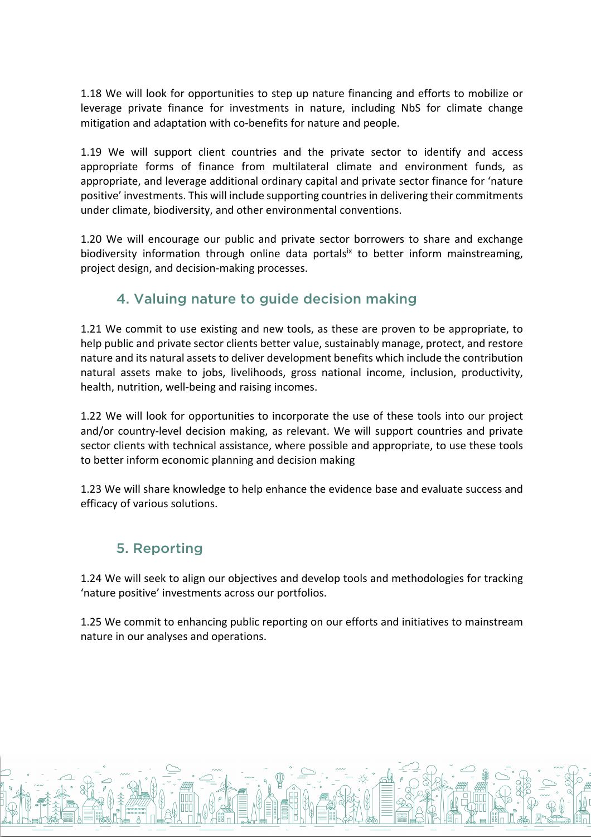1.18 We will look for opportunities to step up nature financing and efforts to mobilize or leverage private finance for investments in nature, including NbS for climate change mitigation and adaptation with co-benefits for nature and people.

1.19 We will support client countries and the private sector to identify and access appropriate forms of finance from multilateral climate and environment funds, as appropriate, and leverage additional ordinary capital and private sector finance for 'nature positive' investments. This will include supporting countries in delivering their commitments under climate, biodiversity, and other environmental conventions.

1.20 We will encourage our public and private sector borrowers to share and exchange biodiversity information through online data portalsix to better inform mainstreaming, project design, and decision-making processes.

# 4. Valuing nature to guide decision making

1.21 We commit to use existing and new tools, as these are proven to be appropriate, to help public and private sector clients better value, sustainably manage, protect, and restore nature and its natural assets to deliver development benefits which include the contribution natural assets make to jobs, livelihoods, gross national income, inclusion, productivity, health, nutrition, well-being and raising incomes.

1.22 We will look for opportunities to incorporate the use of these tools into our project and/or country-level decision making, as relevant. We will support countries and private sector clients with technical assistance, where possible and appropriate, to use these tools to better inform economic planning and decision making

1.23 We will share knowledge to help enhance the evidence base and evaluate success and efficacy of various solutions.

# 5. Reporting

1.24 We will seek to align our objectives and develop tools and methodologies for tracking 'nature positive' investments across our portfolios.

1.25 We commit to enhancing public reporting on our efforts and initiatives to mainstream nature in our analyses and operations.